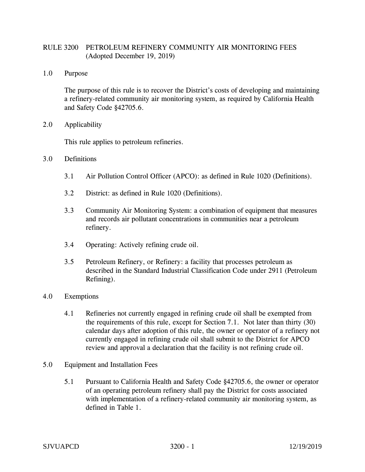## RULE 3200 PETROLEUM REFINERY COMMUNITY AIR MONITORING FEES (Adopted December 19, 2019)

1.0 Purpose

The purpose of this rule is to recover the District's costs of developing and maintaining a refinery-related community air monitoring system, as required by California Health and Safety Code §42705.6.

2.0 Applicability

This rule applies to petroleum refineries.

- 3.0 Definitions
	- 3.1 Air Pollution Control Officer (APCO): as defined in Rule 1020 (Definitions).
	- 3.2 District: as defined in Rule 1020 (Definitions).
	- 3.3 Community Air Monitoring System: a combination of equipment that measures and records air pollutant concentrations in communities near a petroleum refinery.
	- 3.4 Operating: Actively refining crude oil.
	- 3.5 Petroleum Refinery, or Refinery: a facility that processes petroleum as described in the Standard Industrial Classification Code under 2911 (Petroleum Refining).
- 4.0 Exemptions
	- 4.1 Refineries not currently engaged in refining crude oil shall be exempted from the requirements of this rule, except for Section 7.1. Not later than thirty (30) calendar days after adoption of this rule, the owner or operator of a refinery not currently engaged in refining crude oil shall submit to the District for APCO review and approval a declaration that the facility is not refining crude oil.
- 5.0 Equipment and Installation Fees
	- 5.1 Pursuant to California Health and Safety Code §42705.6, the owner or operator of an operating petroleum refinery shall pay the District for costs associated with implementation of a refinery-related community air monitoring system, as defined in Table 1.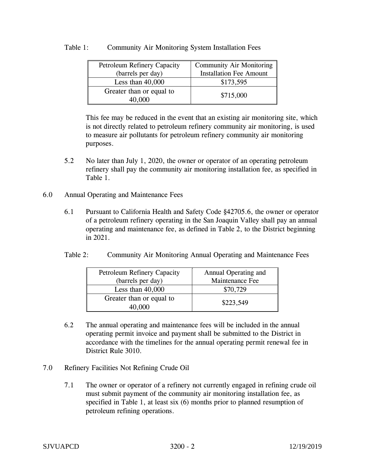## Table 1: Community Air Monitoring System Installation Fees

| <b>Petroleum Refinery Capacity</b> | <b>Community Air Monitoring</b> |
|------------------------------------|---------------------------------|
| (barrels per day)                  | <b>Installation Fee Amount</b>  |
| Less than $40,000$                 | \$173,595                       |
| Greater than or equal to           |                                 |
| 40.000                             | \$715,000                       |

This fee may be reduced in the event that an existing air monitoring site, which is not directly related to petroleum refinery community air monitoring, is used to measure air pollutants for petroleum refinery community air monitoring purposes.

- 5.2 No later than July 1, 2020, the owner or operator of an operating petroleum refinery shall pay the community air monitoring installation fee, as specified in Table 1.
- 6.0 Annual Operating and Maintenance Fees
	- 6.1 Pursuant to California Health and Safety Code §42705.6, the owner or operator of a petroleum refinery operating in the San Joaquin Valley shall pay an annual operating and maintenance fee, as defined in Table 2, to the District beginning in 2021.
	- Table 2: Community Air Monitoring Annual Operating and Maintenance Fees

| <b>Petroleum Refinery Capacity</b><br>(barrels per day) | Annual Operating and<br>Maintenance Fee |
|---------------------------------------------------------|-----------------------------------------|
| Less than $40,000$                                      | \$70,729                                |
| Greater than or equal to<br>40.000                      | \$223,549                               |

- 6.2 The annual operating and maintenance fees will be included in the annual operating permit invoice and payment shall be submitted to the District in accordance with the timelines for the annual operating permit renewal fee in District Rule 3010.
- 7.0 Refinery Facilities Not Refining Crude Oil
	- 7.1 The owner or operator of a refinery not currently engaged in refining crude oil must submit payment of the community air monitoring installation fee, as specified in Table 1, at least six (6) months prior to planned resumption of petroleum refining operations.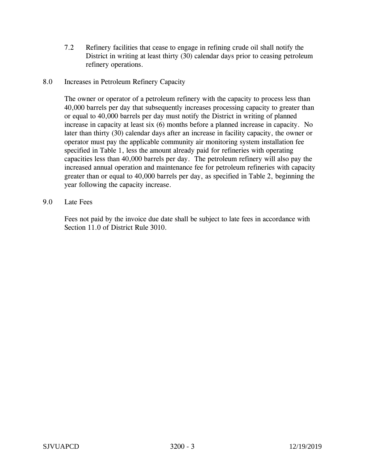7.2 Refinery facilities that cease to engage in refining crude oil shall notify the District in writing at least thirty (30) calendar days prior to ceasing petroleum refinery operations.

## 8.0 Increases in Petroleum Refinery Capacity

The owner or operator of a petroleum refinery with the capacity to process less than 40,000 barrels per day that subsequently increases processing capacity to greater than or equal to 40,000 barrels per day must notify the District in writing of planned increase in capacity at least six (6) months before a planned increase in capacity. No later than thirty (30) calendar days after an increase in facility capacity, the owner or operator must pay the applicable community air monitoring system installation fee specified in Table 1, less the amount already paid for refineries with operating capacities less than 40,000 barrels per day. The petroleum refinery will also pay the increased annual operation and maintenance fee for petroleum refineries with capacity greater than or equal to 40,000 barrels per day, as specified in Table 2, beginning the year following the capacity increase.

## 9.0 Late Fees

Fees not paid by the invoice due date shall be subject to late fees in accordance with Section 11.0 of District Rule 3010.